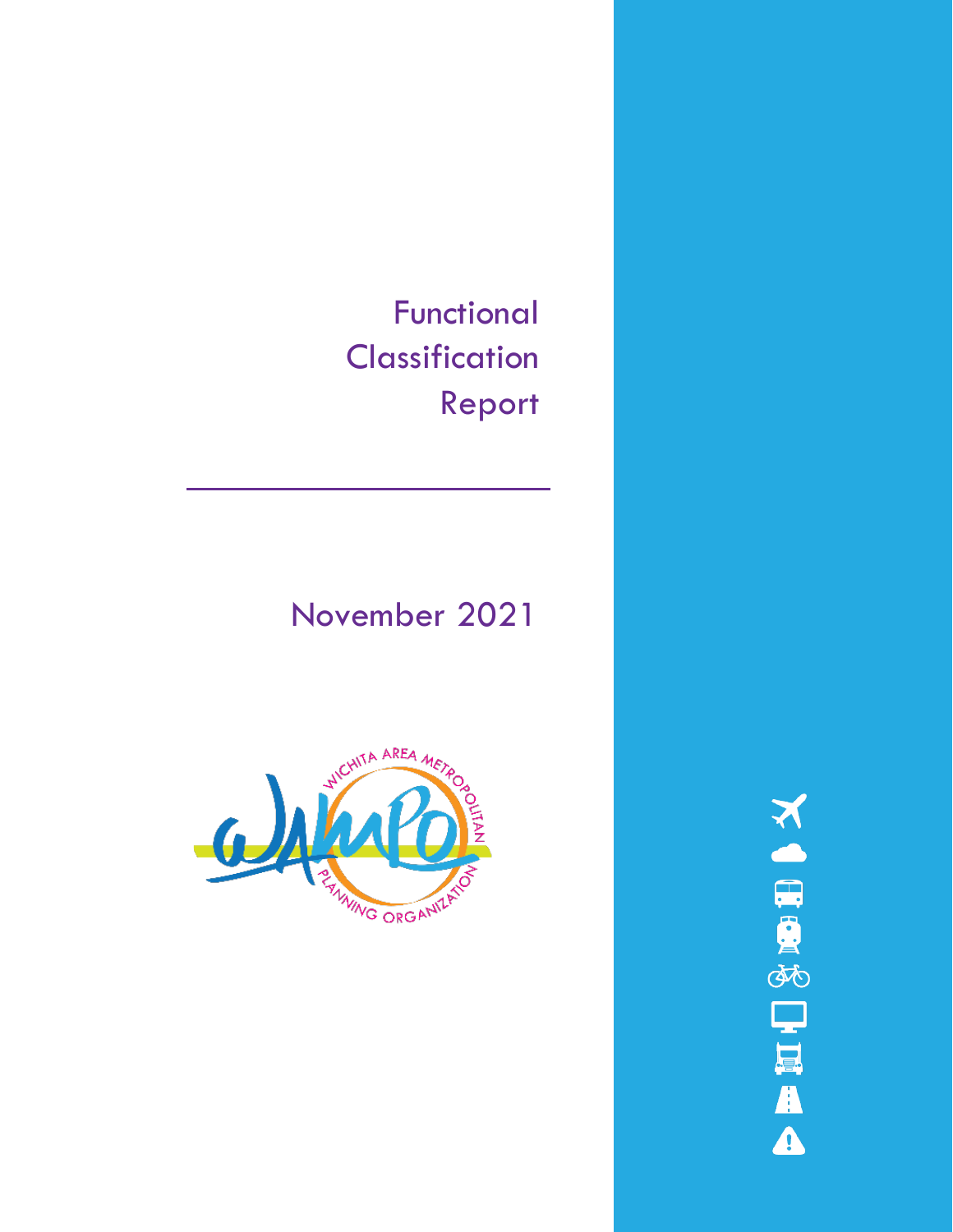Functional **Classification** Report

# November 2021



**NORGEOUR**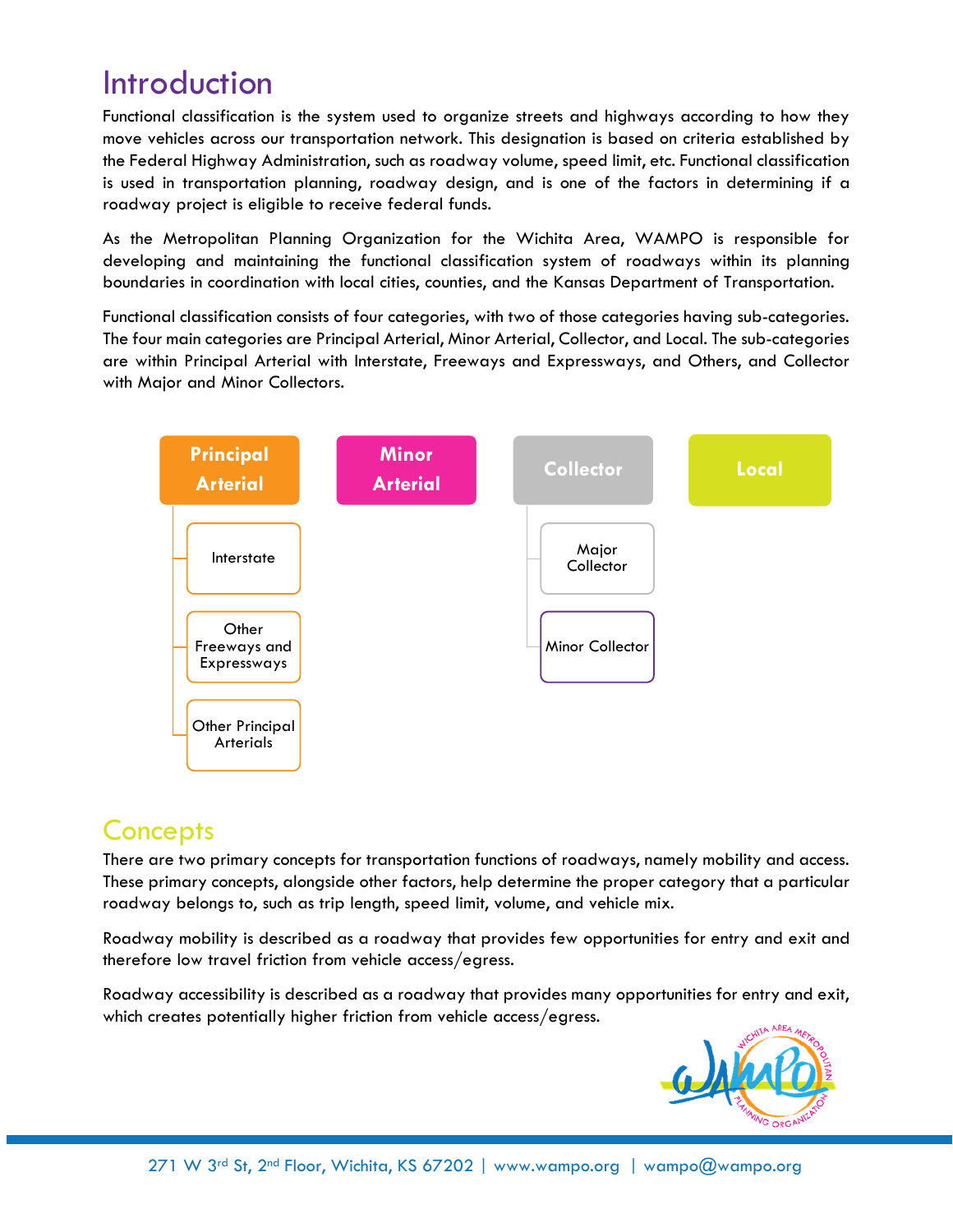## **Introduction**

Functional classification is the system used to organize streets and highways according to how they move vehicles across our transportation network. This designation is based on criteria established by the Federal Highway Administration, such as roadway volume, speed limit, etc. Functional classification is used in transportation planning, roadway design, and is one of the factors in determining if a roadway project is eligible to receive federal funds.

As the Metropolitan Planning Organization for the Wichita Area, WAMPO is responsible for developing and maintaining the functional classification system of roadways within its planning boundaries in coordination with local cities, counties, and the Kansas Department of Transportation.

Functional classification consists of four categories, with two of those categories having sub-categories. The four main categories are Principal Arterial, Minor Arterial, Collector, and Local. The sub-categories are within Principal Arterial with Interstate, Freeways and Expressways, and Others, and Collector with Major and Minor Collectors.



### **Concepts**

There are two primary concepts for transportation functions of roadways, namely mobility and access. These primary concepts, alongside other factors, help determine the proper category that a particular roadway belongs to, such as trip length, speed limit, volume, and vehicle mix.

Roadway mobility is described as a roadway that provides few opportunities for entry and exit and therefore low travel friction from vehicle access/egress.

Roadway accessibility is described as a roadway that provides many opportunities for entry and exit, which creates potentially higher friction from vehicle access/egress.

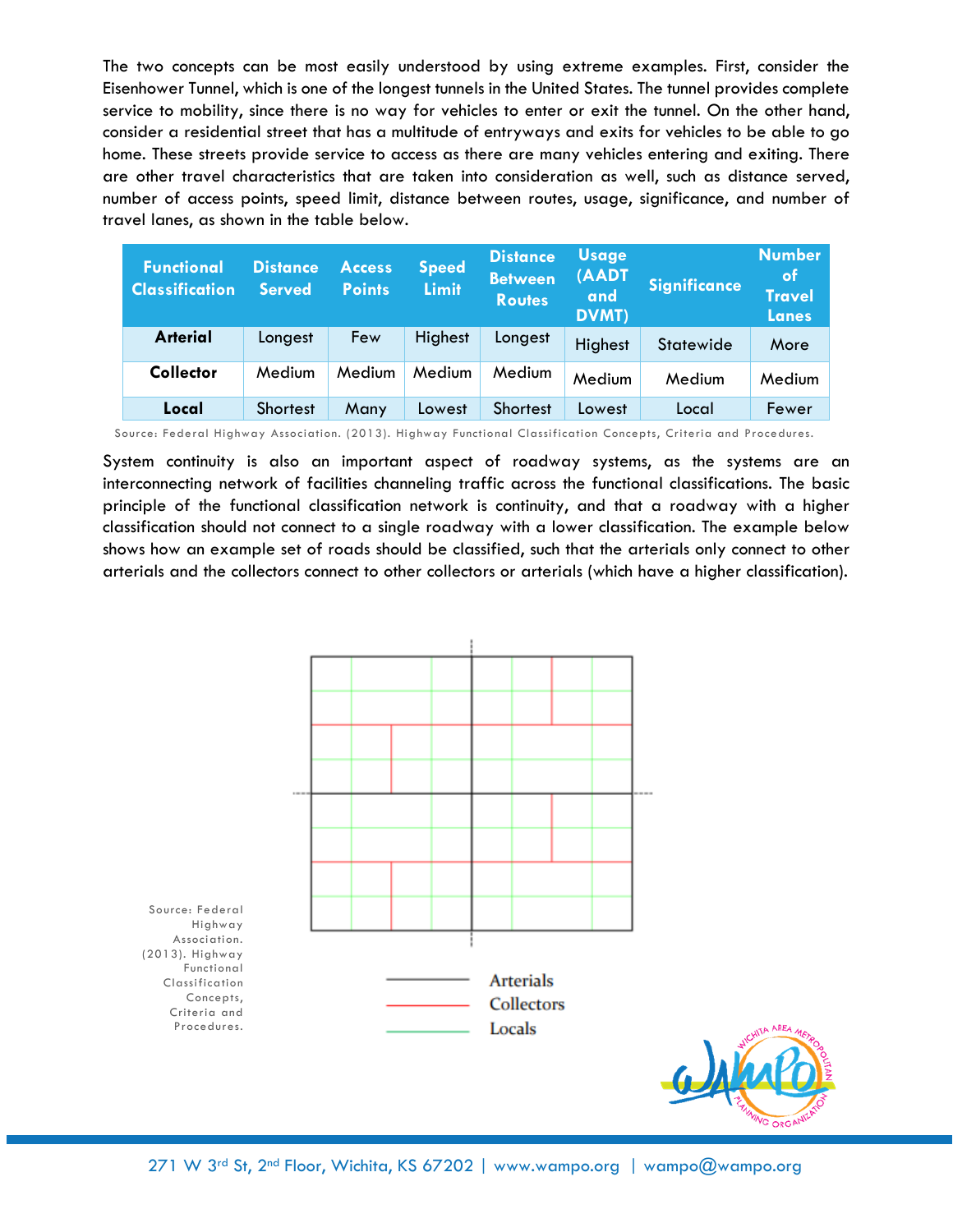The two concepts can be most easily understood by using extreme examples. First, consider the Eisenhower Tunnel, which is one of the longest tunnels in the United States. The tunnel provides complete service to mobility, since there is no way for vehicles to enter or exit the tunnel. On the other hand, consider a residential street that has a multitude of entryways and exits for vehicles to be able to go home. These streets provide service to access as there are many vehicles entering and exiting. There are other travel characteristics that are taken into consideration as well, such as distance served, number of access points, speed limit, distance between routes, usage, significance, and number of travel lanes, as shown in the table below.

| <b>Functional</b><br><b>Classification</b> | <b>Distance</b><br><b>Served</b> | <b>Access</b><br><b>Points</b> | <b>Speed</b><br><b>Limit</b> | <b>Distance</b><br><b>Between</b><br><b>Routes</b> | <b>Usage</b><br>(AADT<br>and<br><b>DVMT)</b> | <b>Significance</b> | <b>Number</b><br>of<br><b>Travel</b><br><b>Lanes</b> |
|--------------------------------------------|----------------------------------|--------------------------------|------------------------------|----------------------------------------------------|----------------------------------------------|---------------------|------------------------------------------------------|
| <b>Arterial</b>                            | Longest                          | Few                            | Highest                      | Longest                                            | Highest                                      | Statewide           | More                                                 |
| <b>Collector</b>                           | Medium                           | Medium                         | Medium                       | <b>Medium</b>                                      | Medium                                       | Medium              | Medium                                               |
| Local                                      | <b>Shortest</b>                  | Many                           | Lowest                       | <b>Shortest</b>                                    | Lowest                                       | Local               | Fewer                                                |

Source: Federal Highway Association. (2013). Highway Functional Classification Concepts, Criteria and Procedures.

System continuity is also an important aspect of roadway systems, as the systems are an interconnecting network of facilities channeling traffic across the functional classifications. The basic principle of the functional classification network is continuity, and that a roadway with a higher classification should not connect to a single roadway with a lower classification. The example below shows how an example set of roads should be classified, such that the arterials only connect to other arterials and the collectors connect to other collectors or arterials (which have a higher classification).

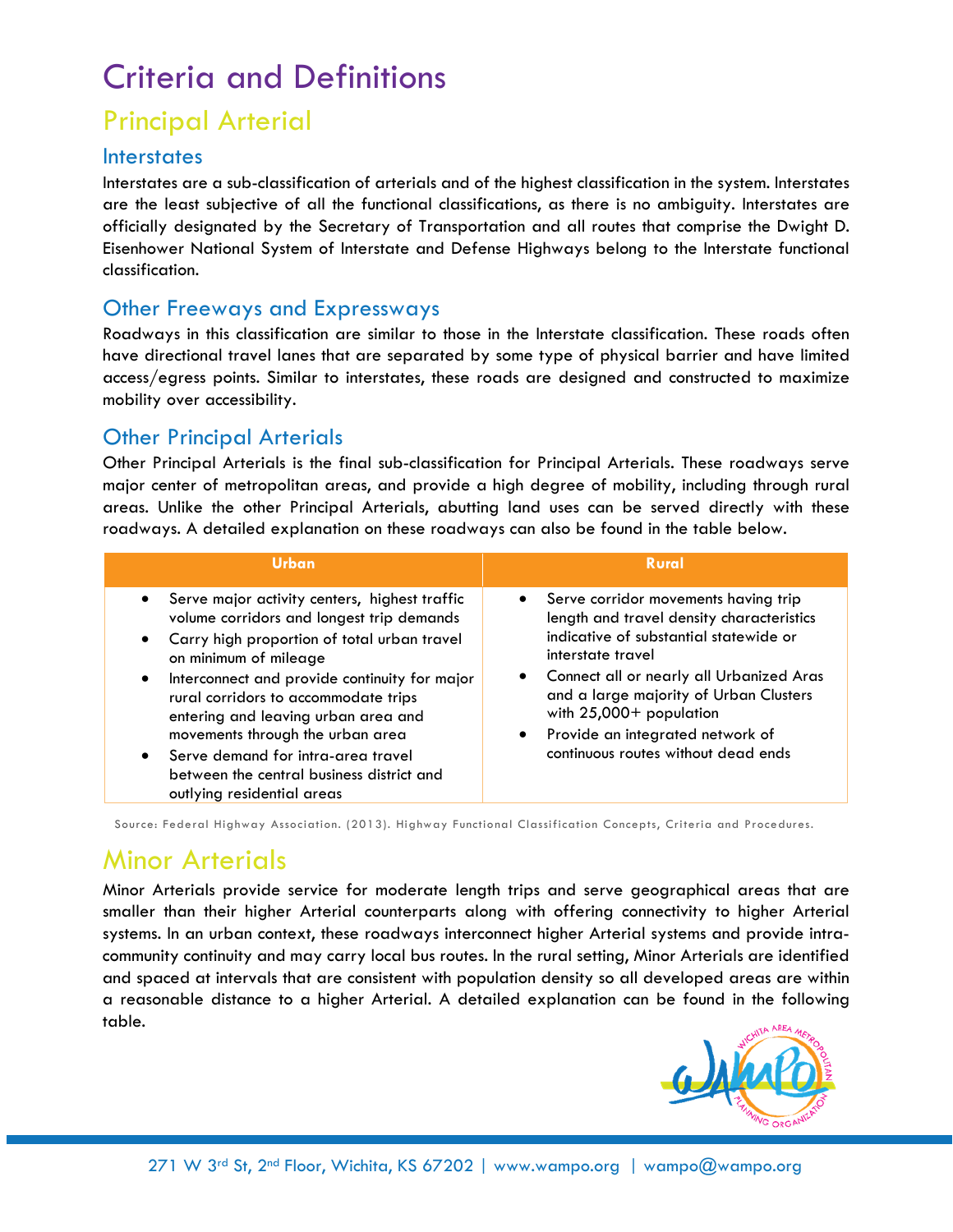## Criteria and Definitions

## Principal Arterial

#### **Interstates**

Interstates are a sub-classification of arterials and of the highest classification in the system. Interstates are the least subjective of all the functional classifications, as there is no ambiguity. Interstates are officially designated by the Secretary of Transportation and all routes that comprise the Dwight D. Eisenhower National System of Interstate and Defense Highways belong to the Interstate functional classification.

#### Other Freeways and Expressways

Roadways in this classification are similar to those in the Interstate classification. These roads often have directional travel lanes that are separated by some type of physical barrier and have limited access/egress points. Similar to interstates, these roads are designed and constructed to maximize mobility over accessibility.

#### Other Principal Arterials

Other Principal Arterials is the final sub-classification for Principal Arterials. These roadways serve major center of metropolitan areas, and provide a high degree of mobility, including through rural areas. Unlike the other Principal Arterials, abutting land uses can be served directly with these roadways. A detailed explanation on these roadways can also be found in the table below.

| Urban                                                                                                                                                                                                                                                                                                                                                                                                                                                                                            | <b>Rural</b>                                                                                                                                                                                                                                                                                                                                   |
|--------------------------------------------------------------------------------------------------------------------------------------------------------------------------------------------------------------------------------------------------------------------------------------------------------------------------------------------------------------------------------------------------------------------------------------------------------------------------------------------------|------------------------------------------------------------------------------------------------------------------------------------------------------------------------------------------------------------------------------------------------------------------------------------------------------------------------------------------------|
| • Serve major activity centers, highest traffic<br>volume corridors and longest trip demands<br>Carry high proportion of total urban travel<br>$\bullet$<br>on minimum of mileage<br>Interconnect and provide continuity for major<br>$\bullet$<br>rural corridors to accommodate trips<br>entering and leaving urban area and<br>movements through the urban area<br>Serve demand for intra-area travel<br>$\bullet$<br>between the central business district and<br>outlying residential areas | Serve corridor movements having trip<br>length and travel density characteristics<br>indicative of substantial statewide or<br>interstate travel<br>Connect all or nearly all Urbanized Aras<br>and a large majority of Urban Clusters<br>with $25,000+$ population<br>Provide an integrated network of<br>continuous routes without dead ends |

Source: Federal Highway Association. (2013). Highway Functional Classification Concepts, Criteria and Procedures.

## Minor Arterials

Minor Arterials provide service for moderate length trips and serve geographical areas that are smaller than their higher Arterial counterparts along with offering connectivity to higher Arterial systems. In an urban context, these roadways interconnect higher Arterial systems and provide intracommunity continuity and may carry local bus routes. In the rural setting, Minor Arterials are identified and spaced at intervals that are consistent with population density so all developed areas are within a reasonable distance to a higher Arterial. A detailed explanation can be found in the following table.

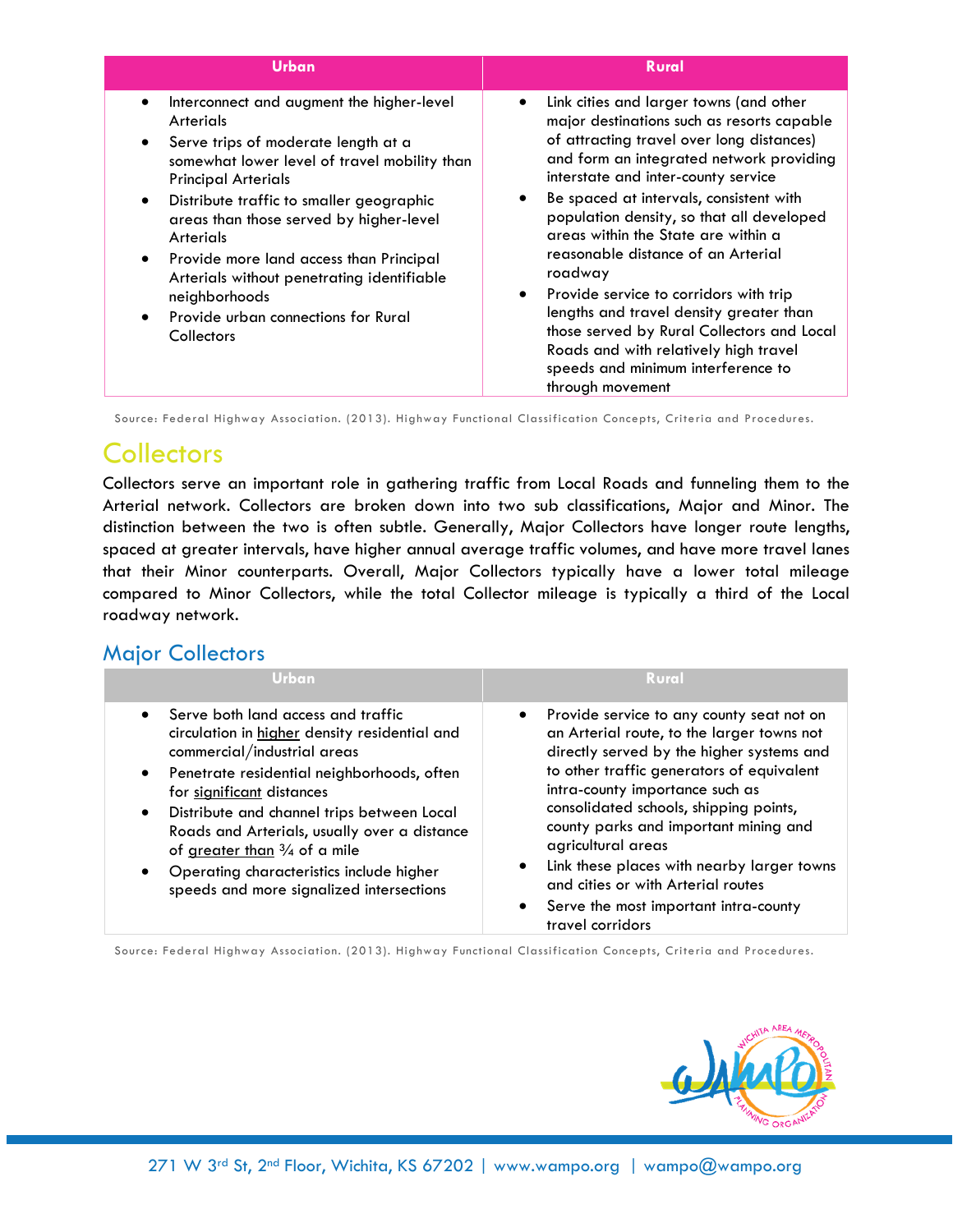| Urban                                                                                                                                                                                                                                                                                                                                                                                                                                          | <b>Rural</b>                                                                                                                                                                                                                                                                                                                                                                                                                                                                                                                                                                                                                                |
|------------------------------------------------------------------------------------------------------------------------------------------------------------------------------------------------------------------------------------------------------------------------------------------------------------------------------------------------------------------------------------------------------------------------------------------------|---------------------------------------------------------------------------------------------------------------------------------------------------------------------------------------------------------------------------------------------------------------------------------------------------------------------------------------------------------------------------------------------------------------------------------------------------------------------------------------------------------------------------------------------------------------------------------------------------------------------------------------------|
| Interconnect and augment the higher-level<br>Arterials<br>Serve trips of moderate length at a<br>somewhat lower level of travel mobility than<br><b>Principal Arterials</b><br>Distribute traffic to smaller geographic<br>areas than those served by higher-level<br>Arterials<br>Provide more land access than Principal<br>Arterials without penetrating identifiable<br>neighborhoods<br>Provide urban connections for Rural<br>Collectors | Link cities and larger towns (and other<br>major destinations such as resorts capable<br>of attracting travel over long distances)<br>and form an integrated network providing<br>interstate and inter-county service<br>Be spaced at intervals, consistent with<br>population density, so that all developed<br>areas within the State are within a<br>reasonable distance of an Arterial<br>roadway<br>Provide service to corridors with trip<br>lengths and travel density greater than<br>those served by Rural Collectors and Local<br>Roads and with relatively high travel<br>speeds and minimum interference to<br>through movement |

Source: Federal Highway Association. (2013). Highway Functional Classification Concepts, Criteria and Procedures.

### **Collectors**

Collectors serve an important role in gathering traffic from Local Roads and funneling them to the Arterial network. Collectors are broken down into two sub classifications, Major and Minor. The distinction between the two is often subtle. Generally, Major Collectors have longer route lengths, spaced at greater intervals, have higher annual average traffic volumes, and have more travel lanes that their Minor counterparts. Overall, Major Collectors typically have a lower total mileage compared to Minor Collectors, while the total Collector mileage is typically a third of the Local roadway network.

### Major Collectors

| Urbanı                                                                                                                                                                                                                                                                                                                                                                                                                                                                | <b>Rural</b>                                                                                                                                                                                                                                                                                                                                                                                                                                                                                                          |
|-----------------------------------------------------------------------------------------------------------------------------------------------------------------------------------------------------------------------------------------------------------------------------------------------------------------------------------------------------------------------------------------------------------------------------------------------------------------------|-----------------------------------------------------------------------------------------------------------------------------------------------------------------------------------------------------------------------------------------------------------------------------------------------------------------------------------------------------------------------------------------------------------------------------------------------------------------------------------------------------------------------|
| Serve both land access and traffic<br>circulation in higher density residential and<br>commercial/industrial areas<br>Penetrate residential neighborhoods, often<br>$\bullet$<br>for significant distances<br>Distribute and channel trips between Local<br>$\bullet$<br>Roads and Arterials, usually over a distance<br>of greater than $\frac{3}{4}$ of a mile<br>Operating characteristics include higher<br>$\bullet$<br>speeds and more signalized intersections | Provide service to any county seat not on<br>$\bullet$<br>an Arterial route, to the larger towns not<br>directly served by the higher systems and<br>to other traffic generators of equivalent<br>intra-county importance such as<br>consolidated schools, shipping points,<br>county parks and important mining and<br>agricultural areas<br>Link these places with nearby larger towns<br>$\bullet$<br>and cities or with Arterial routes<br>Serve the most important intra-county<br>$\bullet$<br>travel corridors |

Source: Federal Highway Association. (2013). Highway Functional Classification Concepts, Criteria and Procedures.

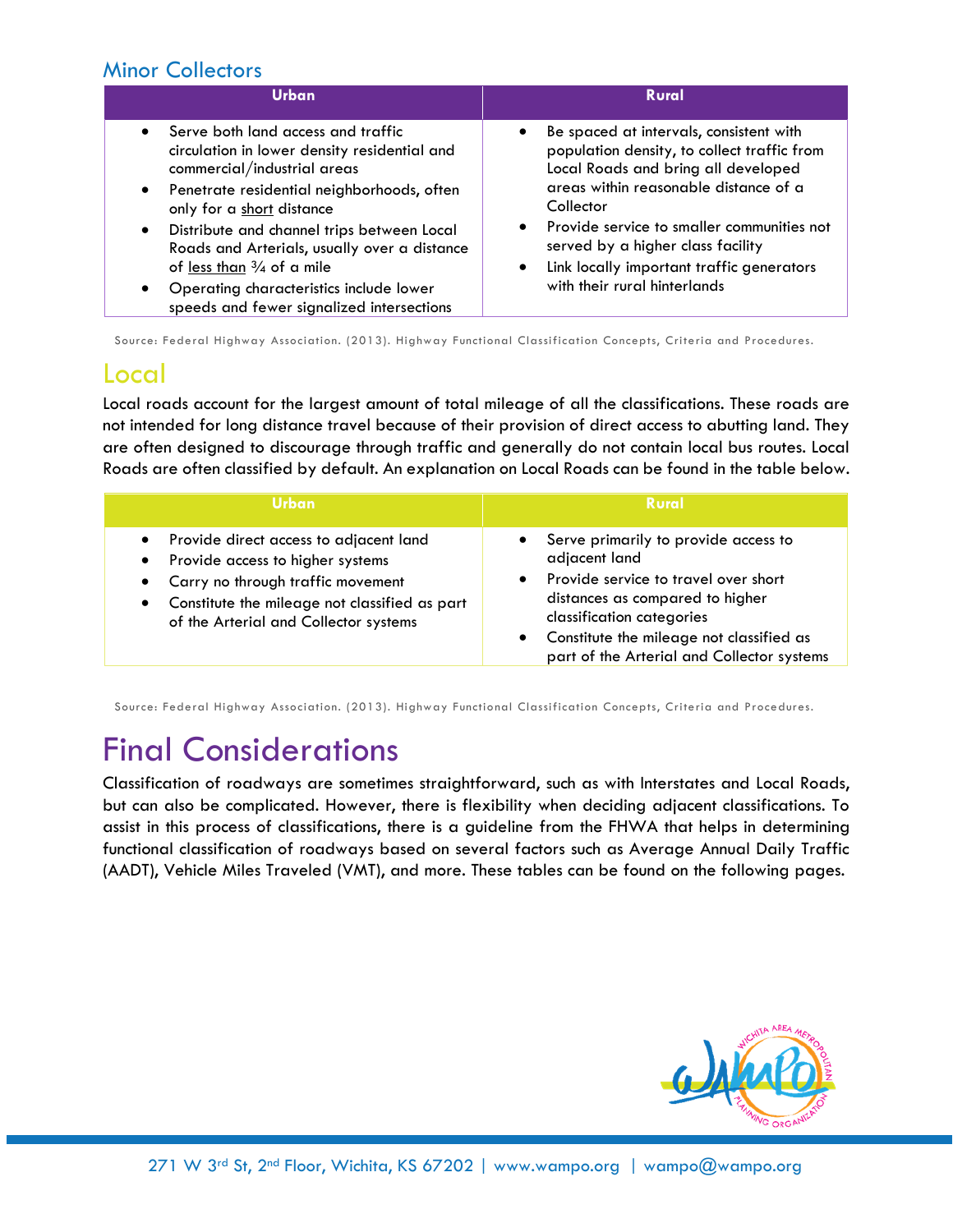### Minor Collectors

| <b>Urban</b>                                                                                                                                                                                                                                                                                                                                                                                                                                                                   | <b>Rural</b>                                                                                                                                                                                                                                                                                                                                        |
|--------------------------------------------------------------------------------------------------------------------------------------------------------------------------------------------------------------------------------------------------------------------------------------------------------------------------------------------------------------------------------------------------------------------------------------------------------------------------------|-----------------------------------------------------------------------------------------------------------------------------------------------------------------------------------------------------------------------------------------------------------------------------------------------------------------------------------------------------|
| Serve both land access and traffic<br>$\bullet$<br>circulation in lower density residential and<br>commercial/industrial areas<br>Penetrate residential neighborhoods, often<br>$\bullet$<br>only for a short distance<br>Distribute and channel trips between Local<br>$\bullet$<br>Roads and Arterials, usually over a distance<br>of less than $\frac{3}{4}$ of a mile<br>Operating characteristics include lower<br>$\bullet$<br>speeds and fewer signalized intersections | Be spaced at intervals, consistent with<br>population density, to collect traffic from<br>Local Roads and bring all developed<br>areas within reasonable distance of a<br>Collector<br>Provide service to smaller communities not<br>served by a higher class facility<br>Link locally important traffic generators<br>with their rural hinterlands |

Source: Federal Highway Association. (2013). Highway Functional Classification Concepts, Criteria and Procedures.

### Local

Local roads account for the largest amount of total mileage of all the classifications. These roads are not intended for long distance travel because of their provision of direct access to abutting land. They are often designed to discourage through traffic and generally do not contain local bus routes. Local Roads are often classified by default. An explanation on Local Roads can be found in the table below.

| /Urban                                        | <b>Rural</b>                               |  |  |
|-----------------------------------------------|--------------------------------------------|--|--|
| • Provide direct access to adjacent land      | Serve primarily to provide access to       |  |  |
| Provide access to higher systems              | adjacent land                              |  |  |
| ٠                                             | Provide service to travel over short       |  |  |
| • Carry no through traffic movement           | distances as compared to higher            |  |  |
| Constitute the mileage not classified as part | classification categories                  |  |  |
| $\bullet$                                     | Constitute the mileage not classified as   |  |  |
| of the Arterial and Collector systems         | part of the Arterial and Collector systems |  |  |

Source: Federal Highway Association. (2013). Highway Functional Classification Concepts, Criteria and Procedures.

# Final Considerations

Classification of roadways are sometimes straightforward, such as with Interstates and Local Roads, but can also be complicated. However, there is flexibility when deciding adjacent classifications. To assist in this process of classifications, there is a guideline from the FHWA that helps in determining functional classification of roadways based on several factors such as Average Annual Daily Traffic (AADT), Vehicle Miles Traveled (VMT), and more. These tables can be found on the following pages.

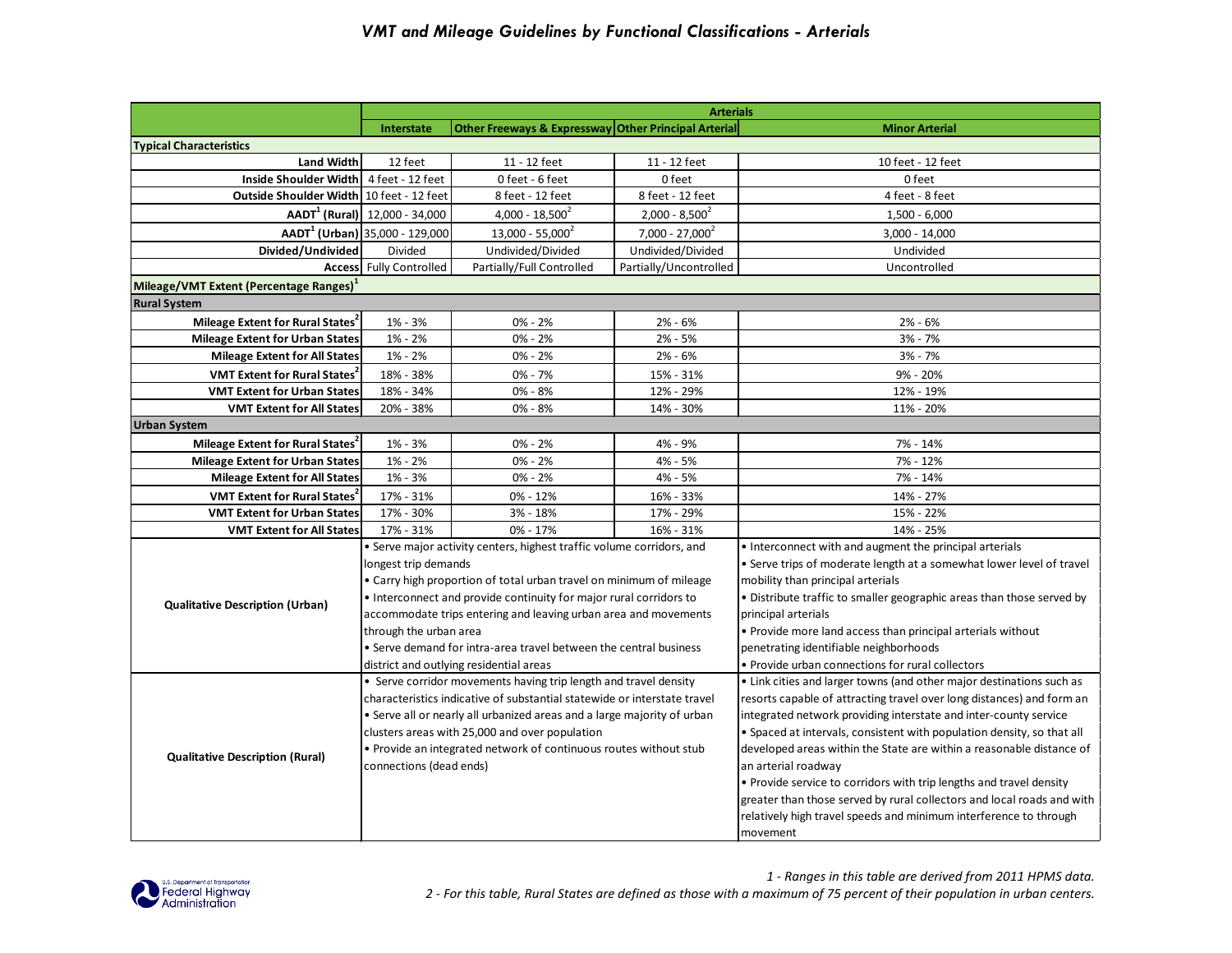|                                                     | <b>Arterials</b>                                                   |                                                                          |                        |                                                                        |  |  |
|-----------------------------------------------------|--------------------------------------------------------------------|--------------------------------------------------------------------------|------------------------|------------------------------------------------------------------------|--|--|
|                                                     | Other Freeways & Expressway Other Principal Arterial<br>Interstate |                                                                          |                        | <b>Minor Arterial</b>                                                  |  |  |
| <b>Typical Characteristics</b>                      |                                                                    |                                                                          |                        |                                                                        |  |  |
| <b>Land Width</b>                                   | 12 feet                                                            | 11 - 12 feet                                                             | 11 - 12 feet           | 10 feet - 12 feet                                                      |  |  |
| Inside Shoulder Width   4 feet - 12 feet            |                                                                    | 0 feet - 6 feet                                                          | 0 feet                 | 0 feet                                                                 |  |  |
| Outside Shoulder Width 10 feet - 12 feet            |                                                                    | 8 feet - 12 feet                                                         | 8 feet - 12 feet       | 4 feet - 8 feet                                                        |  |  |
|                                                     | $AADT1$ (Rural) $  12,000 - 34,000$                                | $4,000 - 18,500^2$                                                       | $2,000 - 8,500^2$      | $1,500 - 6,000$                                                        |  |  |
|                                                     | AADT <sup>1</sup> (Urban) 35,000 - 129,000                         | $13,000 - 55,000^2$                                                      | $7.000 - 27.000^2$     | $3,000 - 14,000$                                                       |  |  |
| Divided/Undivided                                   | Divided                                                            | Undivided/Divided                                                        | Undivided/Divided      | Undivided                                                              |  |  |
|                                                     | <b>Access</b> Fully Controlled                                     | Partially/Full Controlled                                                | Partially/Uncontrolled | Uncontrolled                                                           |  |  |
| Mileage/VMT Extent (Percentage Ranges) <sup>1</sup> |                                                                    |                                                                          |                        |                                                                        |  |  |
| <b>Rural System</b>                                 |                                                                    |                                                                          |                        |                                                                        |  |  |
| Mileage Extent for Rural States <sup>2</sup>        | 1% - 3%                                                            | $0\% - 2\%$                                                              | $2% - 6%$              | 2% - 6%                                                                |  |  |
| Mileage Extent for Urban States                     | 1% - 2%                                                            | $0\% - 2\%$                                                              | $2% - 5%$              | $3% - 7%$                                                              |  |  |
| <b>Mileage Extent for All States</b>                | $1\% - 2\%$                                                        | $0\% - 2\%$                                                              | $2% - 6%$              | $3% - 7%$                                                              |  |  |
| VMT Extent for Rural States                         | 18% - 38%                                                          | $0\% - 7\%$                                                              | 15% - 31%              | 9% - 20%                                                               |  |  |
| <b>VMT Extent for Urban States</b>                  | 18% - 34%                                                          | $0\% - 8\%$                                                              | 12% - 29%              | 12% - 19%                                                              |  |  |
| <b>VMT Extent for All States</b>                    | 20% - 38%                                                          | $0\% - 8\%$                                                              | 14% - 30%              | 11% - 20%                                                              |  |  |
| <b>Urban System</b>                                 |                                                                    |                                                                          |                        |                                                                        |  |  |
| Mileage Extent for Rural States <sup>2</sup>        | 1% - 3%                                                            | $0% - 2%$                                                                | 4% - 9%                | 7% - 14%                                                               |  |  |
| <b>Mileage Extent for Urban States</b>              | 1% - 2%                                                            | $0\% - 2\%$                                                              | 4% - 5%                | 7% - 12%                                                               |  |  |
| <b>Mileage Extent for All States</b>                | 1% - 3%                                                            | $0\% - 2\%$                                                              | 4% - 5%                | 7% - 14%                                                               |  |  |
| <b>VMT Extent for Rural States</b>                  | 17% - 31%                                                          | 0% - 12%                                                                 | 16% - 33%              | 14% - 27%                                                              |  |  |
| <b>VMT Extent for Urban States</b>                  | 17% - 30%                                                          | 3% - 18%                                                                 | 17% - 29%              | 15% - 22%                                                              |  |  |
| <b>VMT Extent for All States</b>                    | 17% - 31%                                                          | 0% - 17%                                                                 | 16% - 31%              | 14% - 25%                                                              |  |  |
|                                                     |                                                                    | • Serve major activity centers, highest traffic volume corridors, and    |                        | • Interconnect with and augment the principal arterials                |  |  |
|                                                     | longest trip demands                                               |                                                                          |                        | • Serve trips of moderate length at a somewhat lower level of travel   |  |  |
|                                                     |                                                                    | • Carry high proportion of total urban travel on minimum of mileage      |                        | mobility than principal arterials                                      |  |  |
| <b>Qualitative Description (Urban)</b>              |                                                                    | • Interconnect and provide continuity for major rural corridors to       |                        | · Distribute traffic to smaller geographic areas than those served by  |  |  |
|                                                     |                                                                    | accommodate trips entering and leaving urban area and movements          |                        | principal arterials                                                    |  |  |
|                                                     | through the urban area                                             |                                                                          |                        | . Provide more land access than principal arterials without            |  |  |
|                                                     |                                                                    | • Serve demand for intra-area travel between the central business        |                        | penetrating identifiable neighborhoods                                 |  |  |
|                                                     |                                                                    | district and outlying residential areas                                  |                        | . Provide urban connections for rural collectors                       |  |  |
|                                                     |                                                                    | • Serve corridor movements having trip length and travel density         |                        | • Link cities and larger towns (and other major destinations such as   |  |  |
|                                                     |                                                                    | characteristics indicative of substantial statewide or interstate travel |                        | resorts capable of attracting travel over long distances) and form an  |  |  |
|                                                     |                                                                    | • Serve all or nearly all urbanized areas and a large majority of urban  |                        | integrated network providing interstate and inter-county service       |  |  |
|                                                     |                                                                    | clusters areas with 25,000 and over population                           |                        | • Spaced at intervals, consistent with population density, so that all |  |  |
|                                                     |                                                                    | . Provide an integrated network of continuous routes without stub        |                        | developed areas within the State are within a reasonable distance of   |  |  |
| <b>Qualitative Description (Rural)</b>              | connections (dead ends)                                            |                                                                          |                        | an arterial roadway                                                    |  |  |
|                                                     |                                                                    |                                                                          |                        | • Provide service to corridors with trip lengths and travel density    |  |  |
|                                                     |                                                                    |                                                                          |                        | greater than those served by rural collectors and local roads and with |  |  |
|                                                     |                                                                    |                                                                          |                        | relatively high travel speeds and minimum interference to through      |  |  |
|                                                     |                                                                    |                                                                          |                        | movement                                                               |  |  |
|                                                     |                                                                    |                                                                          |                        |                                                                        |  |  |



*1 - Ranges in this table are derived from 2011 HPMS data. 2 - For this table, Rural States are defined as those with a maximum of 75 percent of their population in urban centers.*